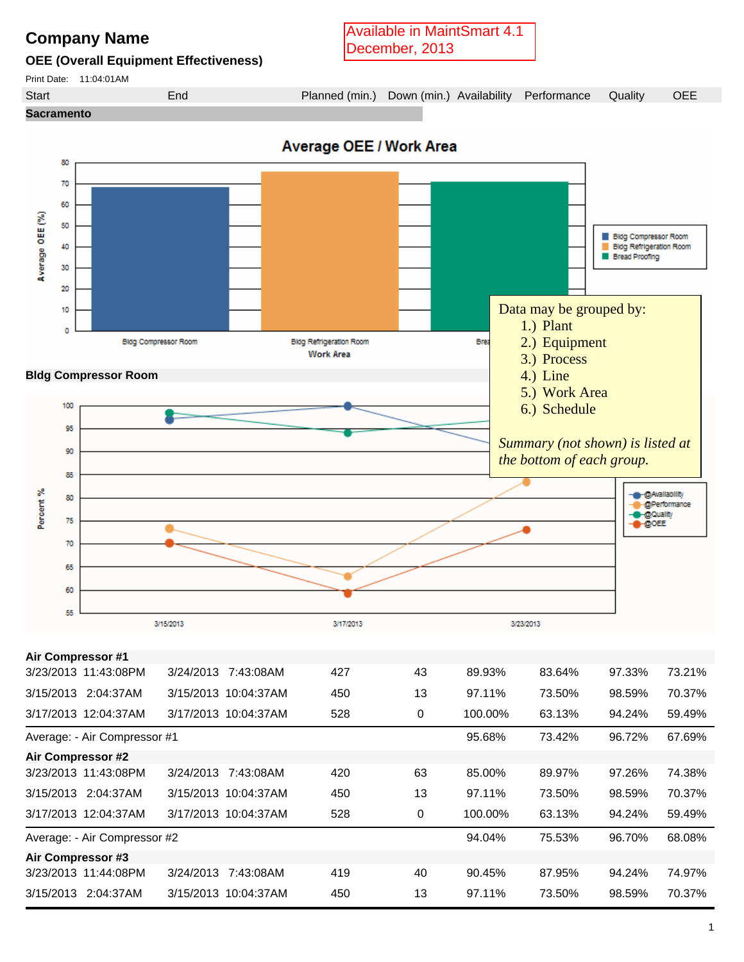## **Company Name**

**OEE (Overall Equipment Effectiveness)**

Available in MaintSmart 4.1 December, 2013

Print Date: 11:04:01AM





|                          | Average: - Air Compressor #1 |           |                      |     |    | 95.68%  | 73.42% | 96.72% | 67.69% |
|--------------------------|------------------------------|-----------|----------------------|-----|----|---------|--------|--------|--------|
| <b>Air Compressor #2</b> |                              |           |                      |     |    |         |        |        |        |
| 3/23/2013 11:43:08PM     |                              | 3/24/2013 | 7:43:08AM            | 420 | 63 | 85.00%  | 89.97% | 97.26% | 74.38% |
| 3/15/2013 2:04:37AM      |                              |           | 3/15/2013 10:04:37AM | 450 | 13 | 97.11%  | 73.50% | 98.59% | 70.37% |
| 3/17/2013 12:04:37AM     |                              |           | 3/17/2013 10:04:37AM | 528 | 0  | 100.00% | 63.13% | 94.24% | 59.49% |
|                          | Average: - Air Compressor #2 |           |                      |     |    | 94.04%  | 75.53% | 96.70% | 68.08% |
| Air Compressor #3        |                              |           |                      |     |    |         |        |        |        |
| 3/23/2013 11:44:08PM     |                              | 3/24/2013 | 7:43:08AM            | 419 | 40 | 90.45%  | 87.95% | 94.24% | 74.97% |
| 3/15/2013                | 2:04:37AM                    |           | 3/15/2013 10:04:37AM | 450 | 13 | 97.11%  | 73.50% | 98.59% | 70.37% |
|                          |                              |           |                      |     |    |         |        |        |        |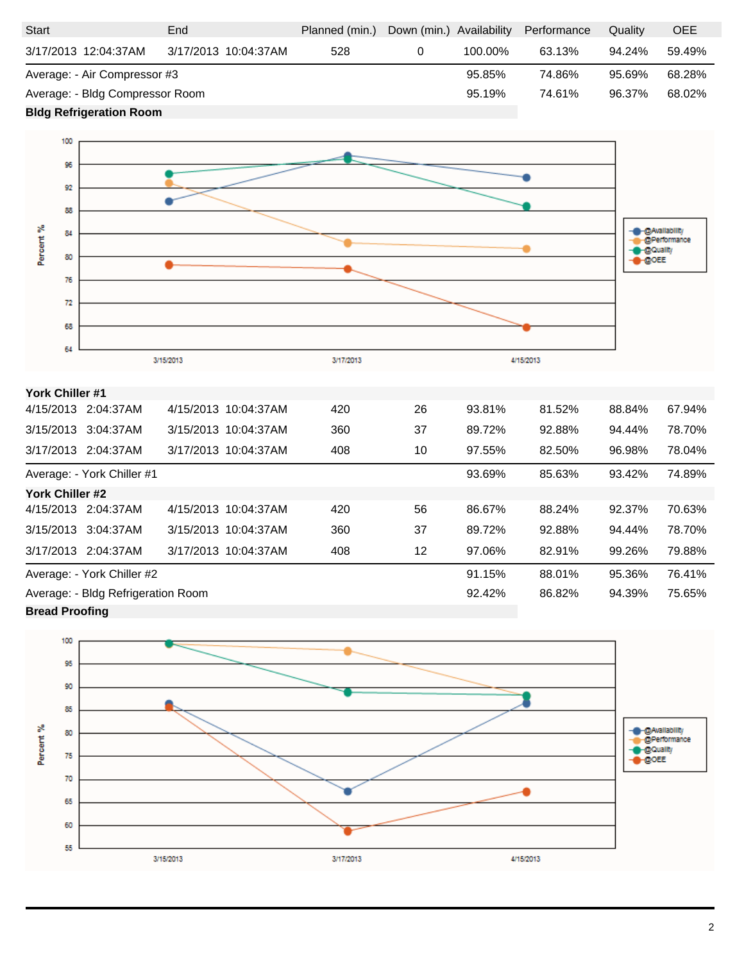| <b>Start</b>                    | End                  | Planned (min.) | Down (min.) Availability |         | Performance | Quality | <b>OEE</b> |
|---------------------------------|----------------------|----------------|--------------------------|---------|-------------|---------|------------|
| 3/17/2013 12:04:37AM            | 3/17/2013 10:04:37AM | 528            |                          | 100.00% | 63.13%      | 94.24%  | 59.49%     |
| Average: - Air Compressor #3    |                      |                | 95.85%                   | 74.86%  | 95.69%      | 68.28%  |            |
| Average: - Bldg Compressor Room |                      |                | 95.19%                   | 74.61%  | 96.37%      | 68.02%  |            |
|                                 |                      |                |                          |         |             |         |            |

**Bldg Refrigeration Room** 



## **York Chiller #1**

|                                    | 4/15/2013 2:04:37AM        |  | 4/15/2013 10:04:37AM | 420 | 26 | 93.81% | 81.52% | 88.84% | 67.94% |
|------------------------------------|----------------------------|--|----------------------|-----|----|--------|--------|--------|--------|
|                                    | 3/15/2013 3:04:37AM        |  | 3/15/2013 10:04:37AM | 360 | 37 | 89.72% | 92.88% | 94.44% | 78.70% |
|                                    | 3/17/2013 2:04:37AM        |  | 3/17/2013 10:04:37AM | 408 | 10 | 97.55% | 82.50% | 96.98% | 78.04% |
|                                    | Average: - York Chiller #1 |  |                      |     |    | 93.69% | 85.63% | 93.42% | 74.89% |
| York Chiller #2                    |                            |  |                      |     |    |        |        |        |        |
|                                    | 4/15/2013 2:04:37AM        |  | 4/15/2013 10:04:37AM | 420 | 56 | 86.67% | 88.24% | 92.37% | 70.63% |
|                                    | 3/15/2013 3:04:37AM        |  | 3/15/2013 10:04:37AM | 360 | 37 | 89.72% | 92.88% | 94.44% | 78.70% |
|                                    | 3/17/2013 2:04:37AM        |  | 3/17/2013 10:04:37AM | 408 | 12 | 97.06% | 82.91% | 99.26% | 79.88% |
| Average: - York Chiller #2         |                            |  |                      |     |    | 91.15% | 88.01% | 95.36% | 76.41% |
| Average: - Bldg Refrigeration Room |                            |  |                      |     |    | 92.42% | 86.82% | 94.39% | 75.65% |
| <b>Drood Droofing</b>              |                            |  |                      |     |    |        |        |        |        |